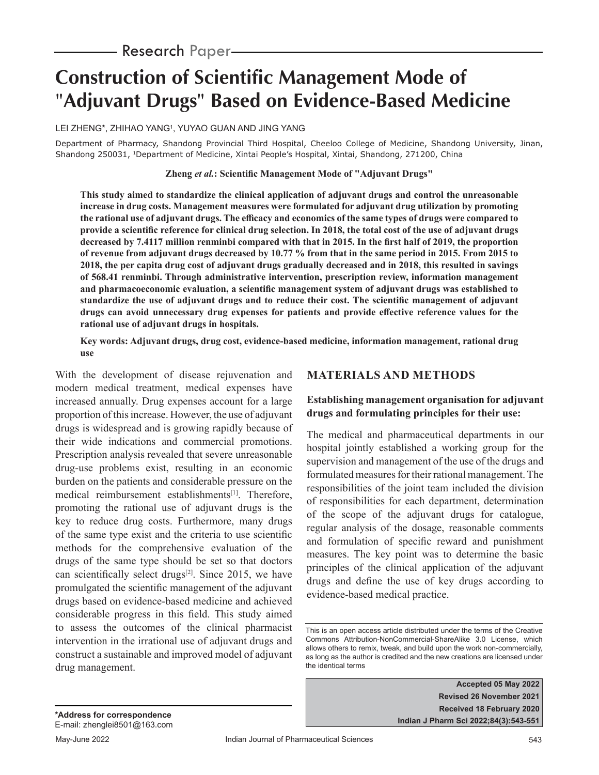# **Construction of Scientific Management Mode of**  "**Adjuvant Drugs**" **Based on Evidence-Based Medicine**

LEI ZHENG\*, ZHIHAO YANG1, YUYAO GUAN AND JING YANG

Department of Pharmacy, Shandong Provincial Third Hospital, Cheeloo College of Medicine, Shandong University, Jinan, Shandong 250031, 1Department of Medicine, Xintai People's Hospital, Xintai, Shandong, 271200, China

**Zheng** *et al.***: Scientific Management Mode of "Adjuvant Drugs"**

**This study aimed to standardize the clinical application of adjuvant drugs and control the unreasonable increase in drug costs. Management measures were formulated for adjuvant drug utilization by promoting the rational use of adjuvant drugs. The efficacy and economics of the same types of drugs were compared to provide a scientific reference for clinical drug selection. In 2018, the total cost of the use of adjuvant drugs decreased by 7.4117 million renminbi compared with that in 2015. In the first half of 2019, the proportion of revenue from adjuvant drugs decreased by 10.77 % from that in the same period in 2015. From 2015 to 2018, the per capita drug cost of adjuvant drugs gradually decreased and in 2018, this resulted in savings of 568.41 renminbi. Through administrative intervention, prescription review, information management and pharmacoeconomic evaluation, a scientific management system of adjuvant drugs was established to standardize the use of adjuvant drugs and to reduce their cost. The scientific management of adjuvant drugs can avoid unnecessary drug expenses for patients and provide effective reference values for the rational use of adjuvant drugs in hospitals.**

#### **Key words: Adjuvant drugs, drug cost, evidence-based medicine, information management, rational drug use**

With the development of disease rejuvenation and modern medical treatment, medical expenses have increased annually. Drug expenses account for a large proportion of this increase. However, the use of adjuvant drugs is widespread and is growing rapidly because of their wide indications and commercial promotions. Prescription analysis revealed that severe unreasonable drug-use problems exist, resulting in an economic burden on the patients and considerable pressure on the medical reimbursement establishments<sup>[1]</sup>. Therefore, promoting the rational use of adjuvant drugs is the key to reduce drug costs. Furthermore, many drugs of the same type exist and the criteria to use scientific methods for the comprehensive evaluation of the drugs of the same type should be set so that doctors can scientifically select drugs<sup>[2]</sup>. Since 2015, we have promulgated the scientific management of the adjuvant drugs based on evidence-based medicine and achieved considerable progress in this field. This study aimed to assess the outcomes of the clinical pharmacist intervention in the irrational use of adjuvant drugs and construct a sustainable and improved model of adjuvant drug management.

# **MATERIALS AND METHODS**

# **Establishing management organisation for adjuvant drugs and formulating principles for their use:**

The medical and pharmaceutical departments in our hospital jointly established a working group for the supervision and management of the use of the drugs and formulated measures for their rational management. The responsibilities of the joint team included the division of responsibilities for each department, determination of the scope of the adjuvant drugs for catalogue, regular analysis of the dosage, reasonable comments and formulation of specific reward and punishment measures. The key point was to determine the basic principles of the clinical application of the adjuvant drugs and define the use of key drugs according to evidence-based medical practice.

**Accepted 05 May 2022 Revised 26 November 2021 Received 18 February 2020 Indian J Pharm Sci 2022;84(3):543-551**

This is an open access article distributed under the terms of the Creative Commons Attribution-NonCommercial-ShareAlike 3.0 License, which allows others to remix, tweak, and build upon the work non-commercially, as long as the author is credited and the new creations are licensed under the identical terms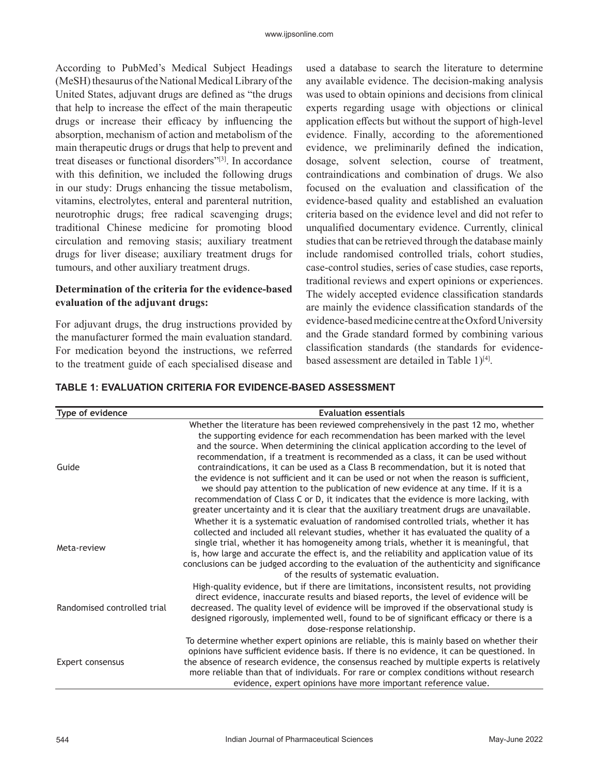According to PubMed's Medical Subject Headings (MeSH) thesaurus of the National Medical Library of the United States, adjuvant drugs are defined as "the drugs that help to increase the effect of the main therapeutic drugs or increase their efficacy by influencing the absorption, mechanism of action and metabolism of the main therapeutic drugs or drugs that help to prevent and treat diseases or functional disorders"[3]. In accordance with this definition, we included the following drugs in our study: Drugs enhancing the tissue metabolism, vitamins, electrolytes, enteral and parenteral nutrition, neurotrophic drugs; free radical scavenging drugs; traditional Chinese medicine for promoting blood circulation and removing stasis; auxiliary treatment drugs for liver disease; auxiliary treatment drugs for tumours, and other auxiliary treatment drugs.

#### **Determination of the criteria for the evidence-based evaluation of the adjuvant drugs:**

For adjuvant drugs, the drug instructions provided by the manufacturer formed the main evaluation standard. For medication beyond the instructions, we referred to the treatment guide of each specialised disease and used a database to search the literature to determine any available evidence. The decision-making analysis was used to obtain opinions and decisions from clinical experts regarding usage with objections or clinical application effects but without the support of high-level evidence. Finally, according to the aforementioned evidence, we preliminarily defined the indication, dosage, solvent selection, course of treatment, contraindications and combination of drugs. We also focused on the evaluation and classification of the evidence-based quality and established an evaluation criteria based on the evidence level and did not refer to unqualified documentary evidence. Currently, clinical studies that can be retrieved through the database mainly include randomised controlled trials, cohort studies, case-control studies, series of case studies, case reports, traditional reviews and expert opinions or experiences. The widely accepted evidence classification standards are mainly the evidence classification standards of the evidence-based medicine centre at the Oxford University and the Grade standard formed by combining various classification standards (the standards for evidencebased assessment are detailed in Table 1)<sup>[4]</sup>.

## **TABLE 1: EVALUATION CRITERIA FOR EVIDENCE-BASED ASSESSMENT**

| Type of evidence            | <b>Evaluation essentials</b>                                                                                                                                                                                                                                                                                                                                                                                                                                                                                                                                                                                                                                                                                                                                                                                |
|-----------------------------|-------------------------------------------------------------------------------------------------------------------------------------------------------------------------------------------------------------------------------------------------------------------------------------------------------------------------------------------------------------------------------------------------------------------------------------------------------------------------------------------------------------------------------------------------------------------------------------------------------------------------------------------------------------------------------------------------------------------------------------------------------------------------------------------------------------|
| Guide                       | Whether the literature has been reviewed comprehensively in the past 12 mo, whether<br>the supporting evidence for each recommendation has been marked with the level<br>and the source. When determining the clinical application according to the level of<br>recommendation, if a treatment is recommended as a class, it can be used without<br>contraindications, it can be used as a Class B recommendation, but it is noted that<br>the evidence is not sufficient and it can be used or not when the reason is sufficient,<br>we should pay attention to the publication of new evidence at any time. If it is a<br>recommendation of Class C or D, it indicates that the evidence is more lacking, with<br>greater uncertainty and it is clear that the auxiliary treatment drugs are unavailable. |
| Meta-review                 | Whether it is a systematic evaluation of randomised controlled trials, whether it has<br>collected and included all relevant studies, whether it has evaluated the quality of a<br>single trial, whether it has homogeneity among trials, whether it is meaningful, that<br>is, how large and accurate the effect is, and the reliability and application value of its<br>conclusions can be judged according to the evaluation of the authenticity and significance<br>of the results of systematic evaluation.                                                                                                                                                                                                                                                                                            |
| Randomised controlled trial | High-quality evidence, but if there are limitations, inconsistent results, not providing<br>direct evidence, inaccurate results and biased reports, the level of evidence will be<br>decreased. The quality level of evidence will be improved if the observational study is<br>designed rigorously, implemented well, found to be of significant efficacy or there is a<br>dose-response relationship.                                                                                                                                                                                                                                                                                                                                                                                                     |
| Expert consensus            | To determine whether expert opinions are reliable, this is mainly based on whether their<br>opinions have sufficient evidence basis. If there is no evidence, it can be questioned. In<br>the absence of research evidence, the consensus reached by multiple experts is relatively<br>more reliable than that of individuals. For rare or complex conditions without research<br>evidence, expert opinions have more important reference value.                                                                                                                                                                                                                                                                                                                                                            |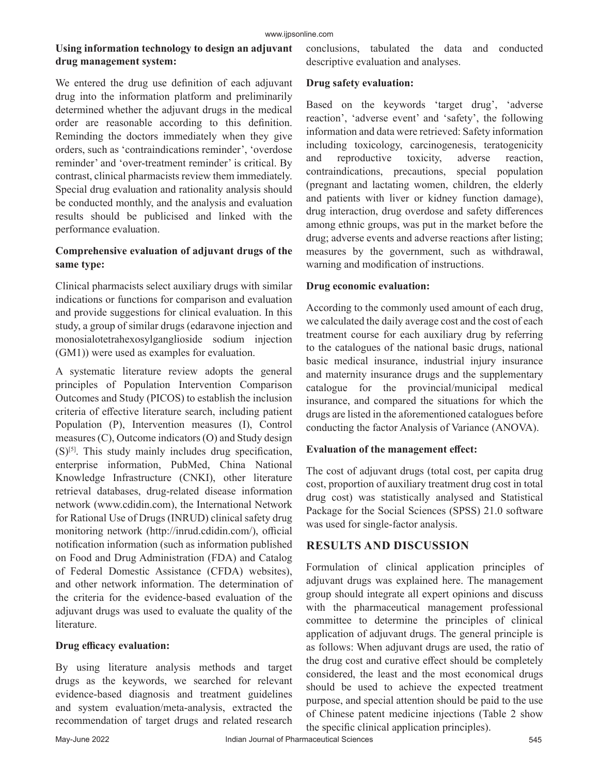## **Using information technology to design an adjuvant drug management system:**

We entered the drug use definition of each adjuvant drug into the information platform and preliminarily determined whether the adjuvant drugs in the medical order are reasonable according to this definition. Reminding the doctors immediately when they give orders, such as 'contraindications reminder', 'overdose reminder' and 'over-treatment reminder' is critical. By contrast, clinical pharmacists review them immediately. Special drug evaluation and rationality analysis should be conducted monthly, and the analysis and evaluation results should be publicised and linked with the performance evaluation.

## **Comprehensive evaluation of adjuvant drugs of the same type:**

Clinical pharmacists select auxiliary drugs with similar indications or functions for comparison and evaluation and provide suggestions for clinical evaluation. In this study, a group of similar drugs (edaravone injection and monosialotetrahexosylganglioside sodium injection (GM1)) were used as examples for evaluation.

A systematic literature review adopts the general principles of Population Intervention Comparison Outcomes and Study (PICOS) to establish the inclusion criteria of effective literature search, including patient Population (P), Intervention measures (I), Control measures (C), Outcome indicators (O) and Study design (S)[5]. This study mainly includes drug specification, enterprise information, PubMed, China National Knowledge Infrastructure (CNKI), other literature retrieval databases, drug-related disease information network (www.cdidin.com), the International Network for Rational Use of Drugs (INRUD) clinical safety drug monitoring network (http://inrud.cdidin.com/), official notification information (such as information published on Food and Drug Administration (FDA) and Catalog of Federal Domestic Assistance (CFDA) websites), and other network information. The determination of the criteria for the evidence-based evaluation of the adjuvant drugs was used to evaluate the quality of the literature.

## **Drug efficacy evaluation:**

By using literature analysis methods and target drugs as the keywords, we searched for relevant evidence-based diagnosis and treatment guidelines and system evaluation/meta-analysis, extracted the recommendation of target drugs and related research conclusions, tabulated the data and conducted descriptive evaluation and analyses.

#### **Drug safety evaluation:**

Based on the keywords 'target drug', 'adverse reaction', 'adverse event' and 'safety', the following information and data were retrieved: Safety information including toxicology, carcinogenesis, teratogenicity and reproductive toxicity, adverse reaction, contraindications, precautions, special population (pregnant and lactating women, children, the elderly and patients with liver or kidney function damage), drug interaction, drug overdose and safety differences among ethnic groups, was put in the market before the drug; adverse events and adverse reactions after listing; measures by the government, such as withdrawal, warning and modification of instructions.

#### **Drug economic evaluation:**

According to the commonly used amount of each drug, we calculated the daily average cost and the cost of each treatment course for each auxiliary drug by referring to the catalogues of the national basic drugs, national basic medical insurance, industrial injury insurance and maternity insurance drugs and the supplementary catalogue for the provincial/municipal medical insurance, and compared the situations for which the drugs are listed in the aforementioned catalogues before conducting the factor Analysis of Variance (ANOVA).

## **Evaluation of the management effect:**

The cost of adjuvant drugs (total cost, per capita drug cost, proportion of auxiliary treatment drug cost in total drug cost) was statistically analysed and Statistical Package for the Social Sciences (SPSS) 21.0 software was used for single-factor analysis.

# **RESULTS AND DISCUSSION**

Formulation of clinical application principles of adjuvant drugs was explained here. The management group should integrate all expert opinions and discuss with the pharmaceutical management professional committee to determine the principles of clinical application of adjuvant drugs. The general principle is as follows: When adjuvant drugs are used, the ratio of the drug cost and curative effect should be completely considered, the least and the most economical drugs should be used to achieve the expected treatment purpose, and special attention should be paid to the use of Chinese patent medicine injections (Table 2 show the specific clinical application principles).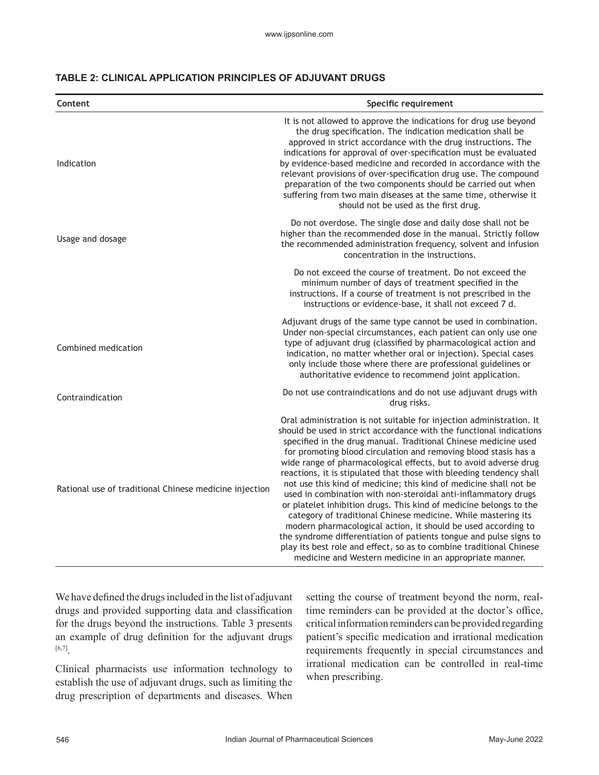| Content                                                | Specific requirement                                                                                                                                                                                                                                                                                                                                                                                                                                                                                                                                                                                                                                                                                                                                                                                                                                                                                                                                                                |  |  |  |
|--------------------------------------------------------|-------------------------------------------------------------------------------------------------------------------------------------------------------------------------------------------------------------------------------------------------------------------------------------------------------------------------------------------------------------------------------------------------------------------------------------------------------------------------------------------------------------------------------------------------------------------------------------------------------------------------------------------------------------------------------------------------------------------------------------------------------------------------------------------------------------------------------------------------------------------------------------------------------------------------------------------------------------------------------------|--|--|--|
| Indication                                             | It is not allowed to approve the indications for drug use beyond<br>the drug specification. The indication medication shall be<br>approved in strict accordance with the drug instructions. The<br>indications for approval of over-specification must be evaluated<br>by evidence-based medicine and recorded in accordance with the<br>relevant provisions of over-specification drug use. The compound<br>preparation of the two components should be carried out when<br>suffering from two main diseases at the same time, otherwise it<br>should not be used as the first drug.                                                                                                                                                                                                                                                                                                                                                                                               |  |  |  |
| Usage and dosage                                       | Do not overdose. The single dose and daily dose shall not be<br>higher than the recommended dose in the manual. Strictly follow<br>the recommended administration frequency, solvent and infusion<br>concentration in the instructions.                                                                                                                                                                                                                                                                                                                                                                                                                                                                                                                                                                                                                                                                                                                                             |  |  |  |
|                                                        | Do not exceed the course of treatment. Do not exceed the<br>minimum number of days of treatment specified in the<br>instructions. If a course of treatment is not prescribed in the<br>instructions or evidence-base, it shall not exceed 7 d.                                                                                                                                                                                                                                                                                                                                                                                                                                                                                                                                                                                                                                                                                                                                      |  |  |  |
| Combined medication                                    | Adjuvant drugs of the same type cannot be used in combination.<br>Under non-special circumstances, each patient can only use one<br>type of adjuvant drug (classified by pharmacological action and<br>indication, no matter whether oral or injection). Special cases<br>only include those where there are professional guidelines or<br>authoritative evidence to recommend joint application.                                                                                                                                                                                                                                                                                                                                                                                                                                                                                                                                                                                   |  |  |  |
| Contraindication                                       | Do not use contraindications and do not use adjuvant drugs with<br>drug risks.                                                                                                                                                                                                                                                                                                                                                                                                                                                                                                                                                                                                                                                                                                                                                                                                                                                                                                      |  |  |  |
| Rational use of traditional Chinese medicine injection | Oral administration is not suitable for injection administration. It<br>should be used in strict accordance with the functional indications<br>specified in the drug manual. Traditional Chinese medicine used<br>for promoting blood circulation and removing blood stasis has a<br>wide range of pharmacological effects, but to avoid adverse drug<br>reactions, it is stipulated that those with bleeding tendency shall<br>not use this kind of medicine; this kind of medicine shall not be<br>used in combination with non-steroidal anti-inflammatory drugs<br>or platelet inhibition drugs. This kind of medicine belongs to the<br>category of traditional Chinese medicine. While mastering its<br>modern pharmacological action, it should be used according to<br>the syndrome differentiation of patients tongue and pulse signs to<br>play its best role and effect, so as to combine traditional Chinese<br>medicine and Western medicine in an appropriate manner. |  |  |  |

We have defined the drugs included in the list of adjuvant drugs and provided supporting data and classification for the drugs beyond the instructions. Table 3 presents an example of drug definition for the adjuvant drugs [6,7].

Clinical pharmacists use information technology to establish the use of adjuvant drugs, such as limiting the drug prescription of departments and diseases. When setting the course of treatment beyond the norm, realtime reminders can be provided at the doctor's office, critical information reminders can be provided regarding patient's specific medication and irrational medication requirements frequently in special circumstances and irrational medication can be controlled in real-time when prescribing.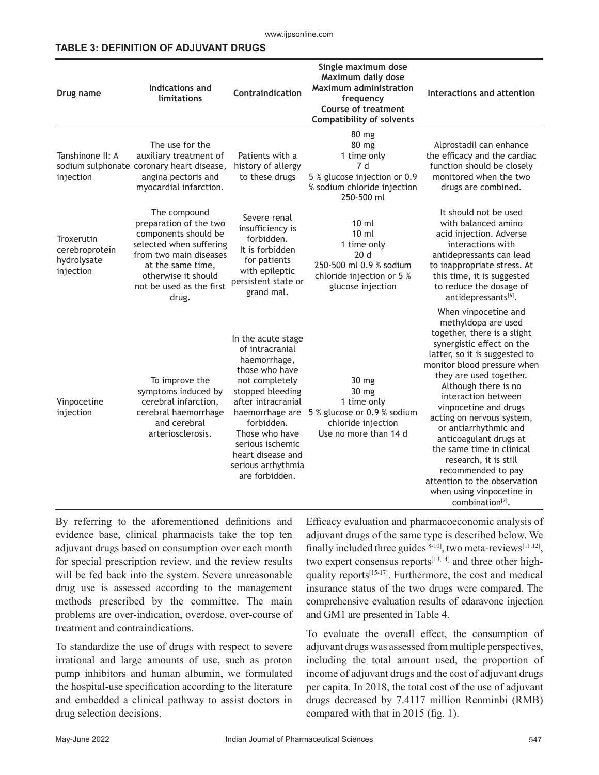#### **TABLE 3: DEFINITION OF ADJUVANT DRUGS**

| Drug name                                                | Indications and<br>limitations                                                                                                                                                                       | Contraindication                                                                                                                                                                                                                                                        | Single maximum dose<br>Maximum daily dose<br><b>Maximum administration</b><br>frequency<br><b>Course of treatment</b><br><b>Compatibility of solvents</b> | Interactions and attention                                                                                                                                                                                                                                                                                                                                                                                                                                                                                                          |
|----------------------------------------------------------|------------------------------------------------------------------------------------------------------------------------------------------------------------------------------------------------------|-------------------------------------------------------------------------------------------------------------------------------------------------------------------------------------------------------------------------------------------------------------------------|-----------------------------------------------------------------------------------------------------------------------------------------------------------|-------------------------------------------------------------------------------------------------------------------------------------------------------------------------------------------------------------------------------------------------------------------------------------------------------------------------------------------------------------------------------------------------------------------------------------------------------------------------------------------------------------------------------------|
| Tanshinone II: A<br>injection                            | The use for the<br>auxiliary treatment of<br>sodium sulphonate coronary heart disease,<br>angina pectoris and<br>myocardial infarction.                                                              | Patients with a<br>history of allergy<br>to these drugs                                                                                                                                                                                                                 | 80 mg<br>80 mg<br>1 time only<br>7 d<br>5 % glucose injection or 0.9<br>% sodium chloride injection<br>250-500 ml                                         | Alprostadil can enhance<br>the efficacy and the cardiac<br>function should be closely<br>monitored when the two<br>drugs are combined.                                                                                                                                                                                                                                                                                                                                                                                              |
| Troxerutin<br>cerebroprotein<br>hydrolysate<br>injection | The compound<br>preparation of the two<br>components should be<br>selected when suffering<br>from two main diseases<br>at the same time,<br>otherwise it should<br>not be used as the first<br>drug. | Severe renal<br>insufficiency is<br>forbidden.<br>It is forbidden<br>for patients<br>with epileptic<br>persistent state or<br>grand mal.                                                                                                                                | 10 <sub>ml</sub><br>10 <sub>ml</sub><br>1 time only<br>20d<br>250-500 ml 0.9 % sodium<br>chloride injection or 5 %<br>glucose injection                   | It should not be used<br>with balanced amino<br>acid injection. Adverse<br>interactions with<br>antidepressants can lead<br>to inappropriate stress. At<br>this time, it is suggested<br>to reduce the dosage of<br>antidepressants[6].                                                                                                                                                                                                                                                                                             |
| Vinpocetine<br>injection                                 | To improve the<br>symptoms induced by<br>cerebral infarction,<br>cerebral haemorrhage<br>and cerebral<br>arteriosclerosis.                                                                           | In the acute stage<br>of intracranial<br>haemorrhage,<br>those who have<br>not completely<br>stopped bleeding<br>after intracranial<br>haemorrhage are<br>forbidden.<br>Those who have<br>serious ischemic<br>heart disease and<br>serious arrhythmia<br>are forbidden. | 30 <sub>mg</sub><br>30 mg<br>1 time only<br>5 % glucose or 0.9 % sodium<br>chloride injection<br>Use no more than 14 d                                    | When vinpocetine and<br>methyldopa are used<br>together, there is a slight<br>synergistic effect on the<br>latter, so it is suggested to<br>monitor blood pressure when<br>they are used together.<br>Although there is no<br>interaction between<br>vinpocetine and drugs<br>acting on nervous system,<br>or antiarrhythmic and<br>anticoagulant drugs at<br>the same time in clinical<br>research, it is still<br>recommended to pay<br>attention to the observation<br>when using vinpocetine in<br>combination <sup>[7]</sup> . |

By referring to the aforementioned definitions and evidence base, clinical pharmacists take the top ten adjuvant drugs based on consumption over each month for special prescription review, and the review results will be fed back into the system. Severe unreasonable drug use is assessed according to the management methods prescribed by the committee. The main problems are over-indication, overdose, over-course of treatment and contraindications.

To standardize the use of drugs with respect to severe irrational and large amounts of use, such as proton pump inhibitors and human albumin, we formulated the hospital-use specification according to the literature and embedded a clinical pathway to assist doctors in drug selection decisions.

Efficacy evaluation and pharmacoeconomic analysis of adjuvant drugs of the same type is described below. We finally included three guides<sup>[8-10]</sup>, two meta-reviews<sup>[11,12]</sup>, two expert consensus reports $[13,14]$  and three other highquality reports[15-17]. Furthermore, the cost and medical insurance status of the two drugs were compared. The comprehensive evaluation results of edaravone injection and GM1 are presented in Table 4.

To evaluate the overall effect, the consumption of adjuvant drugs was assessed from multiple perspectives, including the total amount used, the proportion of income of adjuvant drugs and the cost of adjuvant drugs per capita. In 2018, the total cost of the use of adjuvant drugs decreased by 7.4117 million Renminbi (RMB) compared with that in 2015 (fig. 1).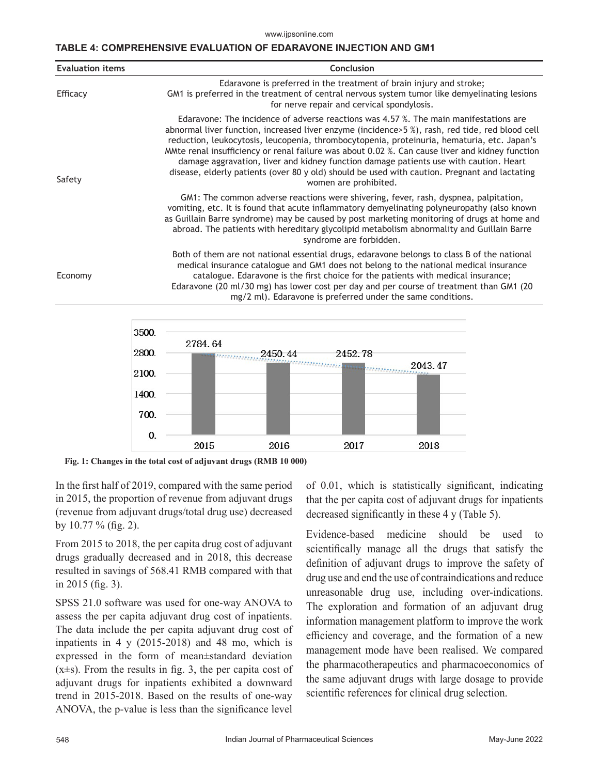www.ijpsonline.com

#### **TABLE 4: COMPREHENSIVE EVALUATION OF EDARAVONE INJECTION AND GM1**

| Conclusion<br><b>Evaluation items</b>                                                                                                                                                                                                                                                                                                                                                                                                                                                                                                                                                                         |  |  |  |  |
|---------------------------------------------------------------------------------------------------------------------------------------------------------------------------------------------------------------------------------------------------------------------------------------------------------------------------------------------------------------------------------------------------------------------------------------------------------------------------------------------------------------------------------------------------------------------------------------------------------------|--|--|--|--|
| Edaravone is preferred in the treatment of brain injury and stroke;<br>GM1 is preferred in the treatment of central nervous system tumor like demyelinating lesions<br>for nerve repair and cervical spondylosis.                                                                                                                                                                                                                                                                                                                                                                                             |  |  |  |  |
| Edaravone: The incidence of adverse reactions was 4.57 %. The main manifestations are<br>abnormal liver function, increased liver enzyme (incidence>5 %), rash, red tide, red blood cell<br>reduction, leukocytosis, leucopenia, thrombocytopenia, proteinuria, hematuria, etc. Japan's<br>MMte renal insufficiency or renal failure was about 0.02 %. Can cause liver and kidney function<br>damage aggravation, liver and kidney function damage patients use with caution. Heart<br>disease, elderly patients (over 80 y old) should be used with caution. Pregnant and lactating<br>women are prohibited. |  |  |  |  |
| GM1: The common adverse reactions were shivering, fever, rash, dyspnea, palpitation,<br>vomiting, etc. It is found that acute inflammatory demyelinating polyneuropathy (also known<br>as Guillain Barre syndrome) may be caused by post marketing monitoring of drugs at home and<br>abroad. The patients with hereditary glycolipid metabolism abnormality and Guillain Barre<br>syndrome are forbidden.                                                                                                                                                                                                    |  |  |  |  |
| Both of them are not national essential drugs, edaravone belongs to class B of the national<br>medical insurance catalogue and GM1 does not belong to the national medical insurance<br>catalogue. Edaravone is the first choice for the patients with medical insurance;<br>Edaravone (20 ml/30 mg) has lower cost per day and per course of treatment than GM1 (20<br>mg/2 ml). Edaravone is preferred under the same conditions.                                                                                                                                                                           |  |  |  |  |
|                                                                                                                                                                                                                                                                                                                                                                                                                                                                                                                                                                                                               |  |  |  |  |



**Fig. 1: Changes in the total cost of adjuvant drugs (RMB 10 000)**

In the first half of 2019, compared with the same period in 2015, the proportion of revenue from adjuvant drugs (revenue from adjuvant drugs/total drug use) decreased by 10.77 % (fig. 2).

From 2015 to 2018, the per capita drug cost of adjuvant drugs gradually decreased and in 2018, this decrease resulted in savings of 568.41 RMB compared with that in 2015 (fig. 3).

SPSS 21.0 software was used for one-way ANOVA to assess the per capita adjuvant drug cost of inpatients. The data include the per capita adjuvant drug cost of inpatients in 4 y (2015-2018) and 48 mo, which is expressed in the form of mean±standard deviation  $(x\pm s)$ . From the results in fig. 3, the per capita cost of adjuvant drugs for inpatients exhibited a downward trend in 2015-2018. Based on the results of one-way ANOVA, the p-value is less than the significance level of 0.01, which is statistically significant, indicating that the per capita cost of adjuvant drugs for inpatients decreased significantly in these 4 y (Table 5).

Evidence-based medicine should be used to scientifically manage all the drugs that satisfy the definition of adjuvant drugs to improve the safety of drug use and end the use of contraindications and reduce unreasonable drug use, including over-indications. The exploration and formation of an adjuvant drug information management platform to improve the work efficiency and coverage, and the formation of a new management mode have been realised. We compared the pharmacotherapeutics and pharmacoeconomics of the same adjuvant drugs with large dosage to provide scientific references for clinical drug selection.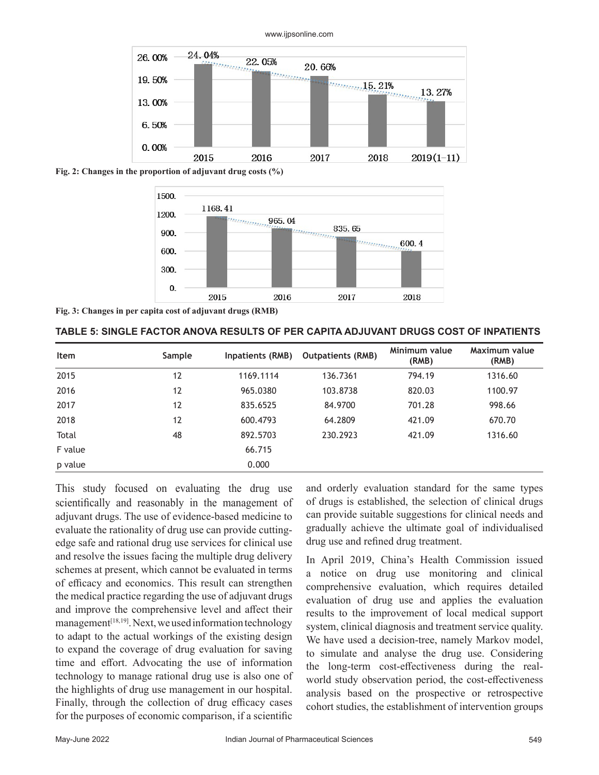

www.ijpsonline.com

**Fig. 2: Changes in the proportion of adjuvant drug costs (%)**



**Fig. 3: Changes in per capita cost of adjuvant drugs (RMB)**

| <b>Item</b> | <b>Sample</b> | Inpatients (RMB) | <b>Outpatients (RMB)</b> | Minimum value<br>(RMB) | Maximum value<br>(RMB) |
|-------------|---------------|------------------|--------------------------|------------------------|------------------------|
| 2015        | 12            | 1169.1114        | 136.7361                 | 794.19                 | 1316.60                |
| 2016        | 12            | 965.0380         | 103.8738                 | 820.03                 | 1100.97                |
| 2017        | 12            | 835.6525         | 84.9700                  | 701.28                 | 998.66                 |
| 2018        | 12            | 600.4793         | 64.2809                  | 421.09                 | 670.70                 |
| Total       | 48            | 892.5703         | 230.2923                 | 421.09                 | 1316.60                |
| F value     |               | 66.715           |                          |                        |                        |
| p value     |               | 0.000            |                          |                        |                        |

This study focused on evaluating the drug use scientifically and reasonably in the management of adjuvant drugs. The use of evidence-based medicine to evaluate the rationality of drug use can provide cuttingedge safe and rational drug use services for clinical use and resolve the issues facing the multiple drug delivery schemes at present, which cannot be evaluated in terms of efficacy and economics. This result can strengthen the medical practice regarding the use of adjuvant drugs and improve the comprehensive level and affect their management<sup>[18,19]</sup>. Next, we used information technology to adapt to the actual workings of the existing design to expand the coverage of drug evaluation for saving time and effort. Advocating the use of information technology to manage rational drug use is also one of the highlights of drug use management in our hospital. Finally, through the collection of drug efficacy cases for the purposes of economic comparison, if a scientific

and orderly evaluation standard for the same types of drugs is established, the selection of clinical drugs can provide suitable suggestions for clinical needs and gradually achieve the ultimate goal of individualised drug use and refined drug treatment.

In April 2019, China's Health Commission issued a notice on drug use monitoring and clinical comprehensive evaluation, which requires detailed evaluation of drug use and applies the evaluation results to the improvement of local medical support system, clinical diagnosis and treatment service quality. We have used a decision-tree, namely Markov model, to simulate and analyse the drug use. Considering the long-term cost-effectiveness during the realworld study observation period, the cost-effectiveness analysis based on the prospective or retrospective cohort studies, the establishment of intervention groups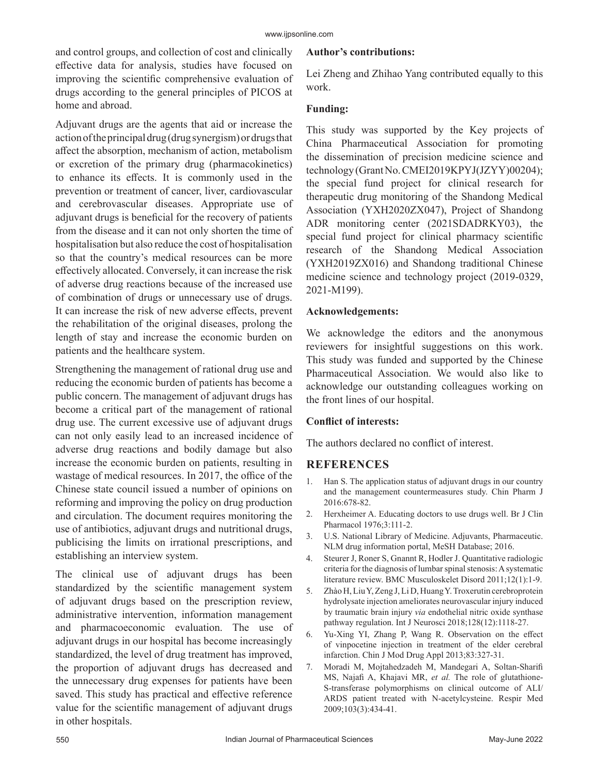and control groups, and collection of cost and clinically effective data for analysis, studies have focused on improving the scientific comprehensive evaluation of drugs according to the general principles of PICOS at home and abroad.

Adjuvant drugs are the agents that aid or increase the action of the principal drug (drug synergism) or drugs that affect the absorption, mechanism of action, metabolism or excretion of the primary drug (pharmacokinetics) to enhance its effects. It is commonly used in the prevention or treatment of cancer, liver, cardiovascular and cerebrovascular diseases. Appropriate use of adjuvant drugs is beneficial for the recovery of patients from the disease and it can not only shorten the time of hospitalisation but also reduce the cost of hospitalisation so that the country's medical resources can be more effectively allocated. Conversely, it can increase the risk of adverse drug reactions because of the increased use of combination of drugs or unnecessary use of drugs. It can increase the risk of new adverse effects, prevent the rehabilitation of the original diseases, prolong the length of stay and increase the economic burden on patients and the healthcare system.

Strengthening the management of rational drug use and reducing the economic burden of patients has become a public concern. The management of adjuvant drugs has become a critical part of the management of rational drug use. The current excessive use of adjuvant drugs can not only easily lead to an increased incidence of adverse drug reactions and bodily damage but also increase the economic burden on patients, resulting in wastage of medical resources. In 2017, the office of the Chinese state council issued a number of opinions on reforming and improving the policy on drug production and circulation. The document requires monitoring the use of antibiotics, adjuvant drugs and nutritional drugs, publicising the limits on irrational prescriptions, and establishing an interview system.

The clinical use of adjuvant drugs has been standardized by the scientific management system of adjuvant drugs based on the prescription review, administrative intervention, information management and pharmacoeconomic evaluation. The use of adjuvant drugs in our hospital has become increasingly standardized, the level of drug treatment has improved, the proportion of adjuvant drugs has decreased and the unnecessary drug expenses for patients have been saved. This study has practical and effective reference value for the scientific management of adjuvant drugs in other hospitals.

#### **Author's contributions:**

Lei Zheng and Zhihao Yang contributed equally to this work.

## **Funding:**

This study was supported by the Key projects of China Pharmaceutical Association for promoting the dissemination of precision medicine science and technology (Grant No. CMEI2019KPYJ(JZYY)00204); the special fund project for clinical research for therapeutic drug monitoring of the Shandong Medical Association (YXH2020ZX047), Project of Shandong ADR monitoring center (2021SDADRKY03), the special fund project for clinical pharmacy scientific research of the Shandong Medical Association (YXH2019ZX016) and Shandong traditional Chinese medicine science and technology project (2019-0329, 2021-M199).

#### **Acknowledgements:**

We acknowledge the editors and the anonymous reviewers for insightful suggestions on this work. This study was funded and supported by the Chinese Pharmaceutical Association. We would also like to acknowledge our outstanding colleagues working on the front lines of our hospital.

## **Conflict of interests:**

The authors declared no conflict of interest.

## **REFERENCES**

- 1. Han S. [The application status of adjuvant drugs in our country](https://pesquisa.bvsalud.org/portal/resource/pt/wpr-859149) [and the management countermeasures study.](https://pesquisa.bvsalud.org/portal/resource/pt/wpr-859149) Chin Pharm J 2016:678-82.
- 2. Herxheimer A. [Educating doctors to use drugs well.](https://bpspubs.onlinelibrary.wiley.com/doi/10.1111/j.1365-2125.1976.tb00577.x) Br J Clin Pharmacol 1976;3:111-2.
- 3. U.S. National Library of Medicine. Adjuvants, Pharmaceutic. NLM drug information portal, MeSH Database; 2016.
- 4. Steurer J, Roner S, Gnannt R, Hodler J. [Quantitative radiologic](https://bmcmusculoskeletdisord.biomedcentral.com/articles/10.1186/1471-2474-12-175) [criteria for the diagnosis of lumbar spinal stenosis: A systematic](https://bmcmusculoskeletdisord.biomedcentral.com/articles/10.1186/1471-2474-12-175) [literature review.](https://bmcmusculoskeletdisord.biomedcentral.com/articles/10.1186/1471-2474-12-175) BMC Musculoskelet Disord 2011;12(1):1-9.
- 5. Zhào H, Liu Y, Zeng J, Li D, Huang Y. [Troxerutin cerebroprotein](https://www.tandfonline.com/doi/abs/10.1080/00207454.2018.1486828?journalCode=ines20) [hydrolysate injection ameliorates neurovascular injury induced](https://www.tandfonline.com/doi/abs/10.1080/00207454.2018.1486828?journalCode=ines20) by traumatic brain injury *via* [endothelial nitric oxide synthase](https://www.tandfonline.com/doi/abs/10.1080/00207454.2018.1486828?journalCode=ines20) [pathway regulation.](https://www.tandfonline.com/doi/abs/10.1080/00207454.2018.1486828?journalCode=ines20) Int J Neurosci 2018;128(12):1118-27.
- 6. Yu-Xing YI, Zhang P, Wang R. Observation on the effect of vinpocetine injection in treatment of the elder cerebral infarction. Chin J Mod Drug Appl 2013;83:327-31.
- 7. Moradi M, Mojtahedzadeh M, Mandegari A, Soltan-Sharifi MS, Najafi A, Khajavi MR, *et al.* [The role of glutathione-](https://www.sciencedirect.com/science/article/pii/S0954611108003454?via%3Dihub)[S-transferase polymorphisms on clinical outcome of ALI/](https://www.sciencedirect.com/science/article/pii/S0954611108003454?via%3Dihub) [ARDS patient treated with N-acetylcysteine.](https://www.sciencedirect.com/science/article/pii/S0954611108003454?via%3Dihub) Respir Med 2009;103(3):434-41.